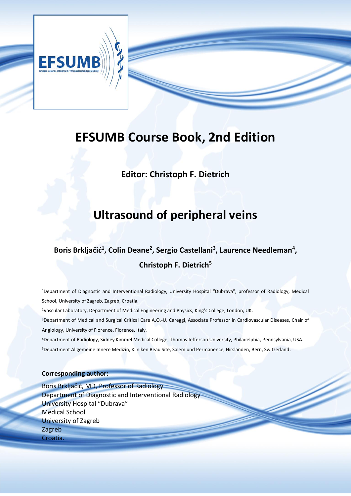

# **EFSUMB Course Book, 2nd Edition**

**Editor: Christoph F. Dietrich**

# **Ultrasound of peripheral veins**

### Boris Brkljačić<sup>1</sup>, Colin Deane<sup>2</sup>, Sergio Castellani<sup>3</sup>, Laurence Needleman<sup>4</sup>, **Christoph F. Dietrich<sup>5</sup>**

<sup>1</sup>Department of Diagnostic and Interventional Radiology, University Hospital "Dubrava", professor of Radiology, Medical School, University of Zagreb, Zagreb, Croatia.

<sup>2</sup>Vascular Laboratory, Department of Medical Engineering and Physics, King's College, London, UK.

<sup>3</sup>Department of Medical and Surgical Critical Care A.O.-U. Careggi, Associate Professor in Cardiovascular Diseases, Chair of Angiology, University of Florence, Florence, Italy.

<sup>4</sup>Department of Radiology, Sidney Kimmel Medical College, Thomas Jefferson University, Philadelphia, Pennsylvania, USA. <sup>5</sup>Department Allgemeine Innere Medizin, Kliniken Beau Site, Salem und Permanence, Hirslanden, Bern, Switzerland.

### **Corresponding author:**

Boris Brkljačić, MD, Professor of Radiology Department of Diagnostic and Interventional Radiology University Hospital "Dubrava" Medical School University of Zagreb Zagreb Croatia.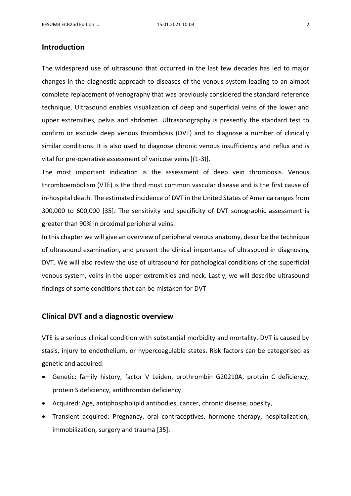#### **Introduction**

The widespread use of ultrasound that occurred in the last few decades has led to major changes in the diagnostic approach to diseases of the venous system leading to an almost complete replacement of venography that was previously considered the standard reference technique. Ultrasound enables visualization of deep and superficial veins of the lower and upper extremities, pelvis and abdomen. Ultrasonography is presently the standard test to confirm or exclude deep venous thrombosis (DVT) and to diagnose a number of clinically similar conditions. It is also used to diagnose chronic venous insufficiency and reflux and is vital for pre-operative assessment of varicose veins [(1-3)].

The most important indication is the assessment of deep vein thrombosis. Venous thromboembolism (VTE) is the third most common vascular disease and is the first cause of in-hospital death. The estimated incidence of DVT in the United States of America rangesfrom 300,000 to 600,000 [35]. The sensitivity and specificity of DVT sonographic assessment is greater than 90% in proximal peripheral veins.

In this chapter we will give an overview of peripheral venous anatomy, describe the technique of ultrasound examination, and present the clinical importance of ultrasound in diagnosing DVT. We will also review the use of ultrasound for pathological conditions of the superficial venous system, veins in the upper extremities and neck. Lastly, we will describe ultrasound findings of some conditions that can be mistaken for DVT

### **Clinical DVT and a diagnostic overview**

VTE is a serious clinical condition with substantial morbidity and mortality. DVT is caused by stasis, injury to endothelium, or hypercoagulable states. Risk factors can be categorised as genetic and acquired:

- Genetic: family history, factor V Leiden, prothrombin G20210A, protein C deficiency, protein S deficiency, antithrombin deficiency.
- Acquired: Age, antiphospholipid antibodies, cancer, chronic disease, obesity,
- Transient acquired: Pregnancy, oral contraceptives, hormone therapy, hospitalization, immobilization, surgery and trauma [35].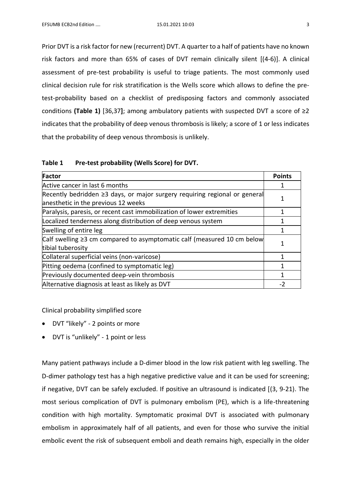Prior DVT is a risk factor for new (recurrent) DVT. A quarter to a half of patients have no known risk factors and more than 65% of cases of DVT remain clinically silent [(4-6)]. A clinical assessment of pre-test probability is useful to triage patients. The most commonly used clinical decision rule for risk stratification is the Wells score which allows to define the pretest-probability based on a checklist of predisposing factors and commonly associated conditions **(Table 1)** [36,37**]**; among ambulatory patients with suspected DVT a score of ≥2 indicates that the probability of deep venous thrombosis is likely; a score of 1 or less indicates that the probability of deep venous thrombosis is unlikely.

| Table 1 | Pre-test probability (Wells Score) for DVT. |  |  |
|---------|---------------------------------------------|--|--|
|---------|---------------------------------------------|--|--|

| Factor                                                                                                                  |  |
|-------------------------------------------------------------------------------------------------------------------------|--|
| Active cancer in last 6 months                                                                                          |  |
| Recently bedridden $\geq$ 3 days, or major surgery requiring regional or general<br>anesthetic in the previous 12 weeks |  |
| Paralysis, paresis, or recent cast immobilization of lower extremities                                                  |  |
| Localized tenderness along distribution of deep venous system                                                           |  |
| Swelling of entire leg                                                                                                  |  |
| Calf swelling $\geq$ 3 cm compared to asymptomatic calf (measured 10 cm below<br>tibial tuberosity                      |  |
| Collateral superficial veins (non-varicose)                                                                             |  |
| Pitting oedema (confined to symptomatic leg)                                                                            |  |
| Previously documented deep-vein thrombosis                                                                              |  |
| Alternative diagnosis at least as likely as DVT                                                                         |  |

Clinical probability simplified score

- DVT "likely" 2 points or more
- DVT is "unlikely" 1 point or less

Many patient pathways include a D-dimer blood in the low risk patient with leg swelling. The D-dimer pathology test has a high negative predictive value and it can be used for screening; if negative, DVT can be safely excluded. If positive an ultrasound is indicated [(3, 9-21). The most serious complication of DVT is pulmonary embolism (PE), which is a life-threatening condition with high mortality. Symptomatic proximal DVT is associated with pulmonary embolism in approximately half of all patients, and even for those who survive the initial embolic event the risk of subsequent emboli and death remains high, especially in the older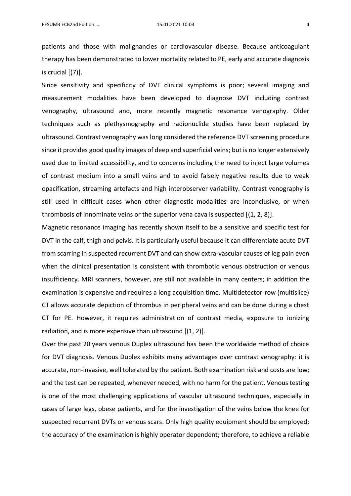patients and those with malignancies or cardiovascular disease. Because anticoagulant therapy has been demonstrated to lower mortality related to PE, early and accurate diagnosis is crucial  $[(7)]$ .

Since sensitivity and specificity of DVT clinical symptoms is poor; several imaging and measurement modalities have been developed to diagnose DVT including contrast venography, ultrasound and, more recently magnetic resonance venography. Older techniques such as plethysmography and radionuclide studies have been replaced by ultrasound. Contrast venography was long considered the reference DVT screening procedure since it provides good quality images of deep and superficial veins; but is no longer extensively used due to limited accessibility, and to concerns including the need to inject large volumes of contrast medium into a small veins and to avoid falsely negative results due to weak opacification, streaming artefacts and high interobserver variability. Contrast venography is still used in difficult cases when other diagnostic modalities are inconclusive, or when thrombosis of innominate veins or the superior vena cava is suspected  $[(1, 2, 8)]$ .

Magnetic resonance imaging has recently shown itself to be a sensitive and specific test for DVT in the calf, thigh and pelvis. It is particularly useful because it can differentiate acute DVT from scarring in suspected recurrent DVT and can show extra-vascular causes of leg pain even when the clinical presentation is consistent with thrombotic venous obstruction or venous insufficiency. MRI scanners, however, are still not available in many centers; in addition the examination is expensive and requires a long acquisition time. Multidetector-row (multislice) CT allows accurate depiction of thrombus in peripheral veins and can be done during a chest CT for PE. However, it requires administration of contrast media, exposure to ionizing radiation, and is more expensive than ultrasound [(1, 2)].

Over the past 20 years venous Duplex ultrasound has been the worldwide method of choice for DVT diagnosis. Venous Duplex exhibits many advantages over contrast venography: it is accurate, non-invasive, well tolerated by the patient. Both examination risk and costs are low; and the test can be repeated, whenever needed, with no harm for the patient. Venous testing is one of the most challenging applications of vascular ultrasound techniques, especially in cases of large legs, obese patients, and for the investigation of the veins below the knee for suspected recurrent DVTs or venous scars. Only high quality equipment should be employed; the accuracy of the examination is highly operator dependent; therefore, to achieve a reliable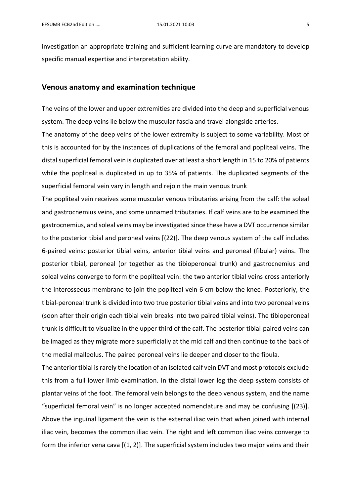investigation an appropriate training and sufficient learning curve are mandatory to develop specific manual expertise and interpretation ability.

#### **Venous anatomy and examination technique**

The veins of the lower and upper extremities are divided into the deep and superficial venous system. The deep veins lie below the muscular fascia and travel alongside arteries.

The anatomy of the deep veins of the lower extremity is subject to some variability. Most of this is accounted for by the instances of duplications of the femoral and popliteal veins. The distal superficial femoral vein is duplicated over at least a short length in 15 to 20% of patients while the popliteal is duplicated in up to 35% of patients. The duplicated segments of the superficial femoral vein vary in length and rejoin the main venous trunk

The popliteal vein receives some muscular venous tributaries arising from the calf: the soleal and gastrocnemius veins, and some unnamed tributaries. If calf veins are to be examined the gastrocnemius, and soleal veins may be investigated since these have a DVT occurrence similar to the posterior tibial and peroneal veins [(22)]. The deep venous system of the calf includes 6-paired veins: posterior tibial veins, anterior tibial veins and peroneal (fibular) veins. The posterior tibial, peroneal (or together as the tibioperoneal trunk) and gastrocnemius and soleal veins converge to form the popliteal vein: the two anterior tibial veins cross anteriorly the interosseous membrane to join the popliteal vein 6 cm below the knee. Posteriorly, the tibial-peroneal trunk is divided into two true posterior tibial veins and into two peroneal veins (soon after their origin each tibial vein breaks into two paired tibial veins). The tibioperoneal trunk is difficult to visualize in the upper third of the calf. The posterior tibial-paired veins can be imaged as they migrate more superficially at the mid calf and then continue to the back of the medial malleolus. The paired peroneal veins lie deeper and closer to the fibula.

The anterior tibial is rarely the location of an isolated calf vein DVT and most protocols exclude this from a full lower limb examination. In the distal lower leg the deep system consists of plantar veins of the foot. The femoral vein belongs to the deep venous system, and the name "superficial femoral vein" is no longer accepted nomenclature and may be confusing [(23)]. Above the inguinal ligament the vein is the external iliac vein that when joined with internal iliac vein, becomes the common iliac vein. The right and left common iliac veins converge to form the inferior vena cava  $[(1, 2)]$ . The superficial system includes two major veins and their